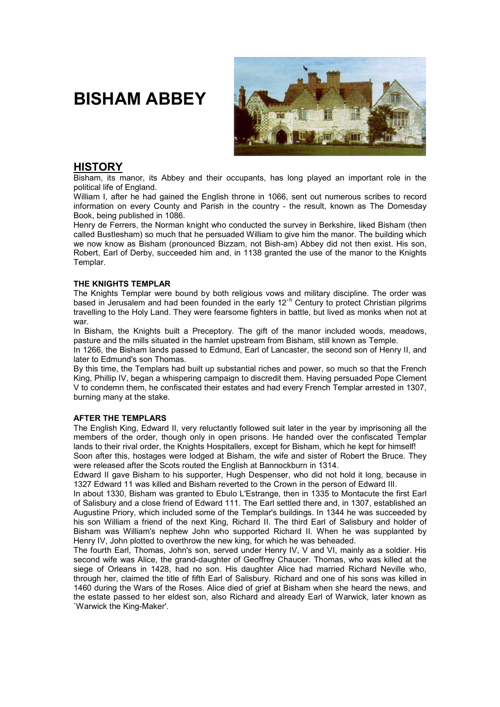# **BISHAM ABBEY**



# **HISTORY**

Bisham, its manor, its Abbey and their occupants, has long played an important role in the political life of England.

William I, after he had gained the English throne in 1066, sent out numerous scribes to record information on every County and Parish in the country - the result, known as The Domesday Book, being published in 1086.

Henry de Ferrers, the Norman knight who conducted the survey in Berkshire, liked Bisham (then called Bustlesham) so much that he persuaded William to give him the manor. The building which we now know as Bisham (pronounced Bizzam, not Bish-am) Abbey did not then exist. His son, Robert, Earl of Derby, succeeded him and, in 1138 granted the use of the manor to the Knights Templar.

### **THE KNIGHTS TEMPLAR**

The Knights Templar were bound by both religious vows and military discipline. The order was based in Jerusalem and had been founded in the early 12<sup>th</sup> Century to protect Christian pilgrims travelling to the Holy Land. They were fearsome fighters in battle, but lived as monks when not at war.

In Bisham, the Knights built a Preceptory. The gift of the manor included woods, meadows, pasture and the mills situated in the hamlet upstream from Bisham, still known as Temple.

In 1266, the Bisham lands passed to Edmund, Earl of Lancaster, the second son of Henry II, and later to Edmund's son Thomas.

By this time, the Templars had built up substantial riches and power, so much so that the French King, Phillip IV, began a whispering campaign to discredit them. Having persuaded Pope Clement V to condemn them, he confiscated their estates and had every French Templar arrested in 1307, burning many at the stake.

# **AFTER THE TEMPLARS**

The English King, Edward II, very reluctantly followed suit later in the year by imprisoning all the members of the order, though only in open prisons. He handed over the confiscated Templar lands to their rival order, the Knights Hospitallers, except for Bisham, which he kept for himself!

Soon after this, hostages were lodged at Bisham, the wife and sister of Robert the Bruce. They were released after the Scots routed the English at Bannockburn in 1314.

Edward II gave Bisham to his supporter, Hugh Despenser, who did not hold it long, because in 1327 Edward 11 was killed and Bisham reverted to the Crown in the person of Edward III.

In about 1330, Bisham was granted to Ebulo L'Estrange, then in 1335 to Montacute the first Earl of Salisbury and a close friend of Edward 111. The Earl settled there and, in 1307, established an Augustine Priory, which included some of the Templar's buildings. In 1344 he was succeeded by his son William a friend of the next King, Richard II. The third Earl of Salisbury and holder of Bisham was William's nephew John who supported Richard II. When he was supplanted by Henry IV, John plotted to overthrow the new king, for which he was beheaded.

The fourth Earl, Thomas, John's son, served under Henry IV, V and VI, mainly as a soldier. His second wife was Alice, the grand-daughter of Geoffrey Chaucer. Thomas, who was killed at the siege of Orleans in 1428, had no son. His daughter Alice had married Richard Neville who, through her, claimed the title of fifth Earl of Salisbury. Richard and one of his sons was killed in 1460 during the Wars of the Roses. Alice died of grief at Bisham when she heard the news, and the estate passed to her eldest son, also Richard and already Earl of Warwick, later known as `Warwick the King-Maker'.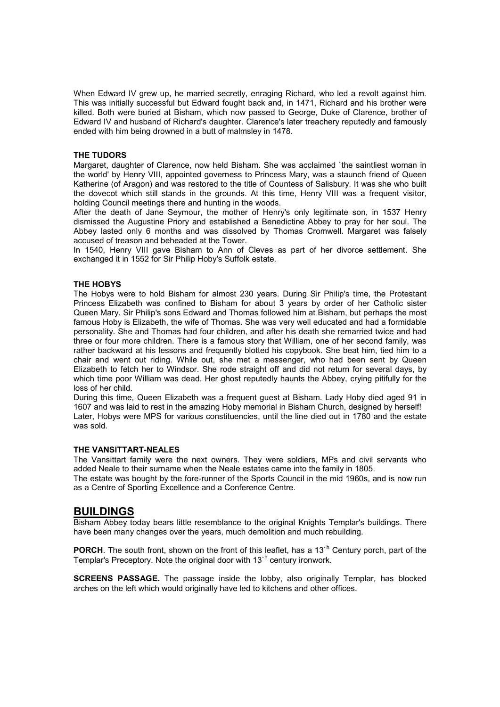When Edward IV grew up, he married secretly, enraging Richard, who led a revolt against him. This was initially successful but Edward fought back and, in 1471, Richard and his brother were killed. Both were buried at Bisham, which now passed to George, Duke of Clarence, brother of Edward IV and husband of Richard's daughter. Clarence's later treachery reputedly and famously ended with him being drowned in a butt of malmsley in 1478.

#### **THE TUDORS**

Margaret, daughter of Clarence, now held Bisham. She was acclaimed `the saintliest woman in the world' by Henry VIII, appointed governess to Princess Mary, was a staunch friend of Queen Katherine (of Aragon) and was restored to the title of Countess of Salisbury. It was she who built the dovecot which still stands in the grounds. At this time, Henry VIII was a frequent visitor, holding Council meetings there and hunting in the woods.

After the death of Jane Seymour, the mother of Henry's only legitimate son, in 1537 Henry dismissed the Augustine Priory and established a Benedictine Abbey to pray for her soul. The Abbey lasted only 6 months and was dissolved by Thomas Cromwell. Margaret was falsely accused of treason and beheaded at the Tower.

In 1540, Henry VIII gave Bisham to Ann of Cleves as part of her divorce settlement. She exchanged it in 1552 for Sir Philip Hoby's Suffolk estate.

#### **THE HOBYS**

The Hobys were to hold Bisham for almost 230 years. During Sir Philip's time, the Protestant Princess Elizabeth was confined to Bisham for about 3 years by order of her Catholic sister Queen Mary. Sir Philip's sons Edward and Thomas followed him at Bisham, but perhaps the most famous Hoby is Elizabeth, the wife of Thomas. She was very well educated and had a formidable personality. She and Thomas had four children, and after his death she remarried twice and had three or four more children. There is a famous story that William, one of her second family, was rather backward at his lessons and frequently blotted his copybook. She beat him, tied him to a chair and went out riding. While out, she met a messenger, who had been sent by Queen Elizabeth to fetch her to Windsor. She rode straight off and did not return for several days, by which time poor William was dead. Her ghost reputedly haunts the Abbey, crying pitifully for the loss of her child.

During this time, Queen Elizabeth was a frequent guest at Bisham. Lady Hoby died aged 91 in 1607 and was laid to rest in the amazing Hoby memorial in Bisham Church, designed by herself! Later, Hobys were MPS for various constituencies, until the line died out in 1780 and the estate was sold.

#### **THE VANSITTART-NEALES**

The Vansittart family were the next owners. They were soldiers, MPs and civil servants who added Neale to their surname when the Neale estates came into the family in 1805.

The estate was bought by the fore-runner of the Sports Council in the mid 1960s, and is now run as a Centre of Sporting Excellence and a Conference Centre.

# **BUILDINGS**

Bisham Abbey today bears little resemblance to the original Knights Templar's buildings. There have been many changes over the years, much demolition and much rebuilding.

PORCH. The south front, shown on the front of this leaflet, has a 13<sup>th</sup> Century porch, part of the Templar's Preceptory. Note the original door with 13<sup>th</sup> century ironwork.

**SCREENS PASSAGE.** The passage inside the lobby, also originally Templar, has blocked arches on the left which would originally have led to kitchens and other offices.